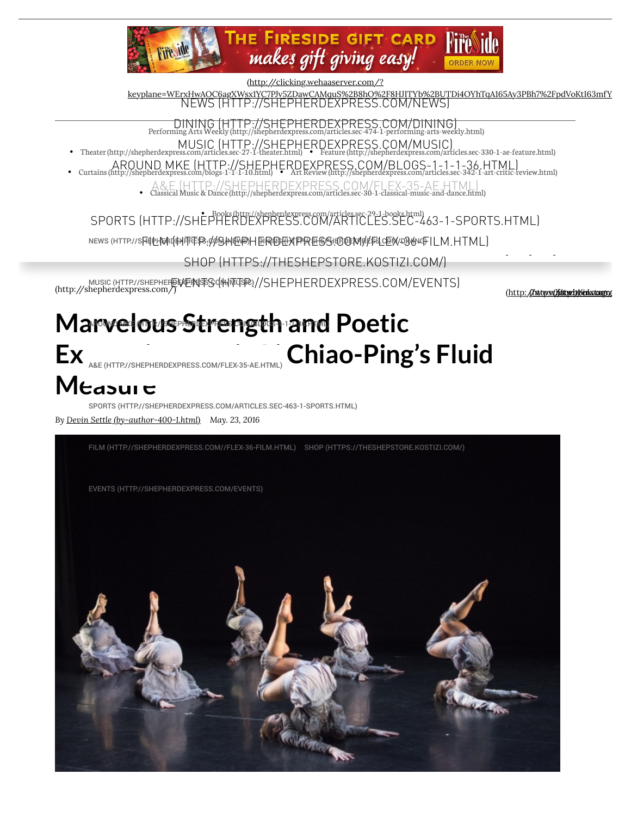

(http://clicking.wehaaserver.com/?

keyplane=WErxHwAOC6agXWsx1YC7PJv5ZDawCAMquS%2B8hO%2F8HJITYb%2BUTDi4OYhTqA165Ay3PBh7%2FpdVoKtI63mfY<br>[NEWS \(HTTP://SHEPHERDEXPRESS.COM/NEWS\)](http://shepherdexpress.com/news)

[DINING \(HTTP://SHEPHERDEXPRESS.COM/DINING\)](http://shepherdexpress.com/dining) [Performing Arts Weekly \(http://shepherdexpress.com/articles.sec-474-1-performing-arts-weekly.html\)](http://shepherdexpress.com/articles.sec-474-1-performing-arts-weekly.html)

- [MUSIC \(HTTP://SHEPHERDEXPRESS.COM/MUSIC\)](http://shepherdexpress.com/music) [Theater \(http://shepherdexpress.com/articles.sec-27-1-theater.html\)](http://shepherdexpress.com/articles.sec-27-1-theater.html) [Feature \(http://shepherdexpress.com/articles.sec-330-1-ae-feature.html\)](http://shepherdexpress.com/articles.sec-330-1-ae-feature.html)
- [AROUND MKE \(HTTP://SHEPHERDEXPRESS.COM/BLOGS-1-1-1-36.HTML\)](http://shepherdexpress.com/blogs-1-1-1-36.html) Curtains (http://shepherdexpress.com/blogs-1-1-1-10.html) Art Review (http://shepherdexpress.com/articles.sec-342-1-art-critic-review.html)
	- [A&E \(HTTP://SHEPHERDEXPRESS.COM/FLEX-35-AE.HTML\)](http://shepherdexpress.com/flex-35-ae.html) Classical Music & Dance (http://shepherdexpress.com/articles.sec-30-1-classical-music-and-dance.html)

## [SPORTS \(HTTP://SHEPHERDEXPRESS.COM/ARTICLES.SEC-463-1-SPORTS.HTML\)](http://shepherdexpress.com/articles.sec-463-1-sports.html)

news (http://sFi‡iLfdaq{IHFFE{B:c/d@ME@H@R\@@XYPR&S@!@@MA}CF&L@Mq&G\G\$\u\$}|LM.HTML)

[SHOP \(HTTPS://THESHEPSTORE.KOSTIZI.COM/\)](https://theshepstore.kostizi.com/)

MUSIC (HTTP://SHEPHEF@EX@RNTS@qli4hNTQSP@}//SHEPHERDEXPRESS.COM/EVENTS)<br>http://shepherdexpress.com/)

## **M[arvelous Strength and](http://shepherdexpress.com/blogs-1-1-1-36.html) Poetic** Ex<sup>A&E (HTTP://SHEPHERDEXPRESS.COM/FLEX-35-AE.HTML) Chiao-Ping's Fluid</sup> AROUND MKE (HTTP://SHEPHERDEXPRESS.COM/BLOGS-1-1-1-36.HTML)

## **Measure**

*By [Devin Settle \(by-author-400-1.html\)](http://shepherdexpress.com/by-author-400-1.html) May. 23, 2016* [SPORTS \(HTTP://SHEPHERDEXPRESS.COM/ARTICLES.SEC-463-1-SPORTS.HTML\)](http://shepherdexpress.com/articles.sec-463-1-sports.html)

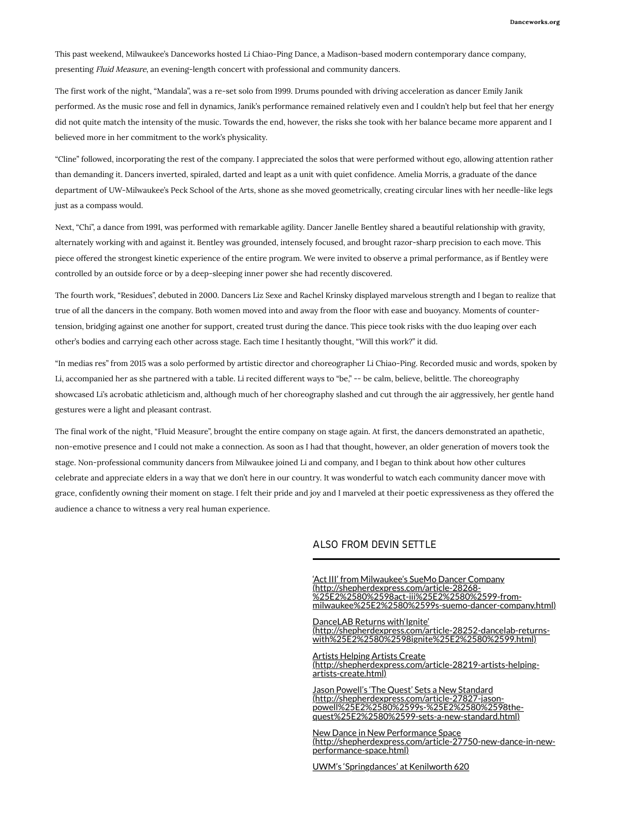This past weekend, Milwaukee's Danceworks hosted Li Chiao-Ping Dance, a Madison-based modern contemporary dance company, presenting Fluid Measure, an evening-length concert with professional and community dancers.

The first work of the night, "Mandala", was a re-set solo from 1999. Drums pounded with driving acceleration as dancer Emily Janik performed. As the music rose and fell in dynamics, Janik's performance remained relatively even and I couldn't help but feel that her energy did not quite match the intensity of the music. Towards the end, however, the risks she took with her balance became more apparent and I believed more in her commitment to the work's physicality.

"Cline" followed, incorporating the rest of the company. I appreciated the solos that were performed without ego, allowing attention rather than demanding it. Dancers inverted, spiraled, darted and leapt as a unit with quiet confidence. Amelia Morris, a graduate of the dance department of UW-Milwaukee's Peck School of the Arts, shone as she moved geometrically, creating circular lines with her needle-like legs just as a compass would.

Next, "Chi", a dance from 1991, was performed with remarkable agility. Dancer Janelle Bentley shared a beautiful relationship with gravity, alternately working with and against it. Bentley was grounded, intensely focused, and brought razor-sharp precision to each move. This piece offered the strongest kinetic experience of the entire program. We were invited to observe a primal performance, as if Bentley were controlled by an outside force or by a deep-sleeping inner power she had recently discovered.

The fourth work, "Residues", debuted in 2000. Dancers Liz Sexe and Rachel Krinsky displayed marvelous strength and I began to realize that true of all the dancers in the company. Both women moved into and away from the floor with ease and buoyancy. Moments of countertension, bridging against one another for support, created trust during the dance. This piece took risks with the duo leaping over each other's bodies and carrying each other across stage. Each time I hesitantly thought, "Will this work?" it did.

"In medias res" from 2015 was a solo performed by artistic director and choreographer Li Chiao-Ping. Recorded music and words, spoken by Li, accompanied her as she partnered with a table. Li recited different ways to "be," -- be calm, believe, belittle. The choreography showcased Li's acrobatic athleticism and, although much of her choreography slashed and cut through the air aggressively, her gentle hand gestures were a light and pleasant contrast.

The final work of the night, "Fluid Measure", brought the entire company on stage again. At first, the dancers demonstrated an apathetic, non-emotive presence and I could not make a connection. As soon as I had that thought, however, an older generation of movers took the stage. Non-professional community dancers from Milwaukee joined Li and company, and I began to think about how other cultures celebrate and appreciate elders in a way that we don't here in our country. It was wonderful to watch each community dancer move with grace, confidently owning their moment on stage. I felt their pride and joy and I marveled at their poetic expressiveness as they offered the audience a chance to witness a very real human experience.

## ALSO FROM DEVIN SETTLE

'Act III' from Milwaukee's SueMo Dancer Company (http://shepherdexpress.com/article-28268- %25E2%2580%2598act-iii%25E2%2580%2599-from[milwaukee%25E2%2580%2599s-suemo-dancer-company.html\)](http://shepherdexpress.com/article-28268-%25E2%2580%2598act-iii%25E2%2580%2599-from-milwaukee%25E2%2580%2599s-suemo-dancer-company.html)

DanceLAB Returns with'Ignite' [\(http://shepherdexpress.com/article-28252-dancelab-returns](http://shepherdexpress.com/article-28252-dancelab-returns-with%25E2%2580%2598ignite%25E2%2580%2599.html)with%25E2%2580%2598ignite%25E2%2580%2599.html)

**Artists Helping Artists Create** [\(http://shepherdexpress.com/article-28219-artists-helping](http://shepherdexpress.com/article-28219-artists-helping-artists-create.html)artists-create.html)

Jason Powell's 'The Quest' Sets a New Standard (http://shepherdexpress.com/article-27827-jason[powell%25E2%2580%2599s-%25E2%2580%2598the](http://shepherdexpress.com/article-27827-jason-powell%25E2%2580%2599s-%25E2%2580%2598the-quest%25E2%2580%2599-sets-a-new-standard.html)quest%25E2%2580%2599-sets-a-new-standard.html)

New Dance in New Performance Space [\(http://shepherdexpress.com/article-27750-new-dance-in-new](http://shepherdexpress.com/article-27750-new-dance-in-new-performance-space.html)performance-space.html)

[UWM's 'Springdances' at Kenilworth 620](http://shepherdexpress.com/article-27683-uwm%25E2%2580%2599s-%25E2%2580%2598springdances%25E2%2580%2599-at-kenilworth-620.html)